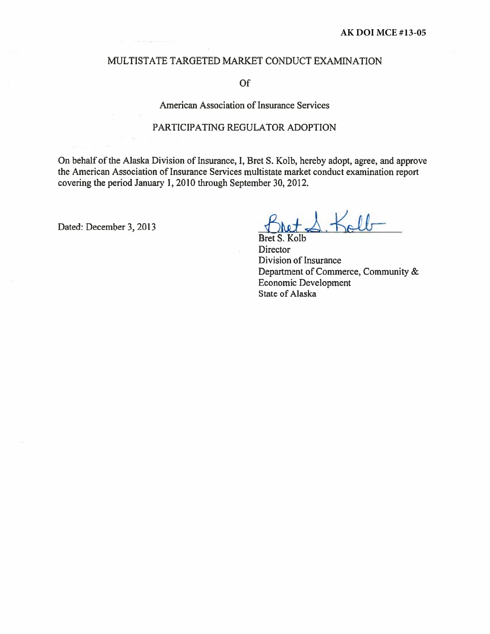#### MULTISTATE TARGETED MARKET CONDUCT EXAMINATION

#### Of

#### American Association of Insurance Services

#### PARTICIPATING REGULATOR ADOPTION

On behalf of the Alaska Division of Insurance, I, Bret S. Kolb, hereby adopt, agree, and approve the American Association of Insurance Services multistate market conduct examination report covering the period January 1, 2010 through September 30, 2012.

Dated: December 3, 2013

 $Kallr$ 

S. Kolb **Bret Director** Division of Insurance Department of Commerce, Community & Economic Development State of Alaska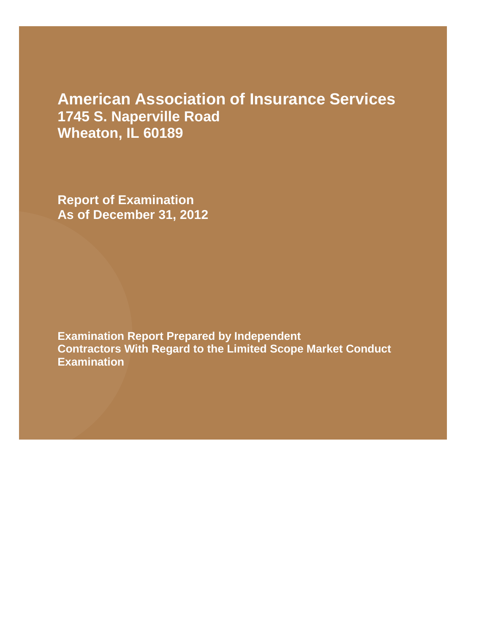## **American Association of Insurance Services 1745 S. Naperville Road Wheaton, IL 60189**

**Report of Examination As of December 31, 2012**

**Examination Report Prepared by Independent Contractors With Regard to the Limited Scope Market Conduct Examination**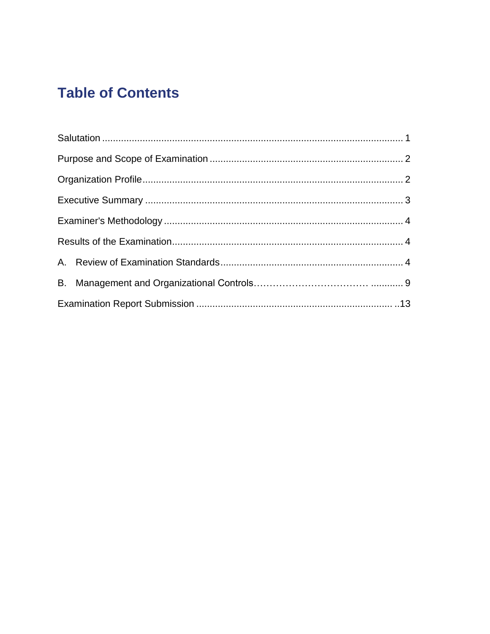# **Table of Contents**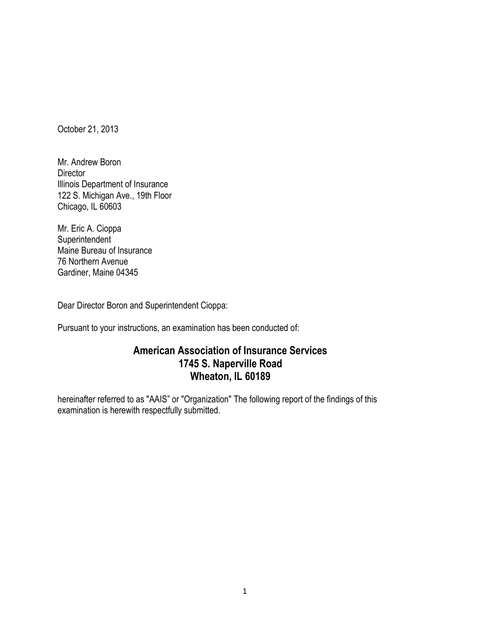October 21, 2013

Mr. Andrew Boron **Director** Illinois Department of Insurance 122 S. Michigan Ave., 19th Floor Chicago, IL 60603

Mr. Eric A. Cioppa Superintendent Maine Bureau of Insurance 76 Northern Avenue Gardiner, Maine 04345

Dear Director Boron and Superintendent Cioppa:

Pursuant to your instructions, an examination has been conducted of:

## **American Association of Insurance Services 1745 S. Naperville Road Wheaton, IL 60189**

hereinafter referred to as "AAIS" or "Organization" The following report of the findings of this examination is herewith respectfully submitted.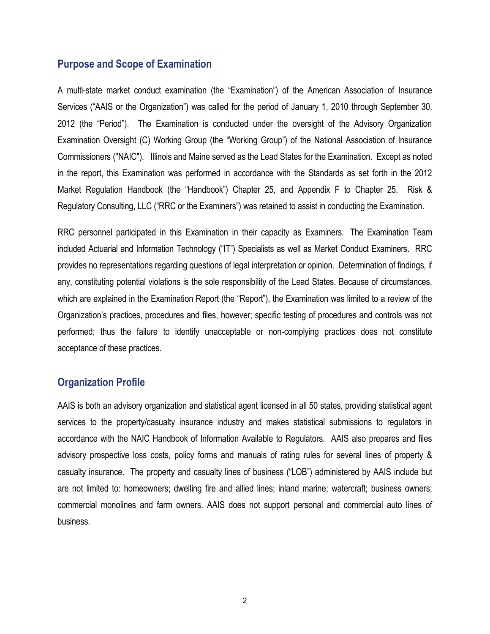#### **Purpose and Scope of Examination**

A multi-state market conduct examination (the "Examination") of the American Association of Insurance Services ("AAIS or the Organization") was called for the period of January 1, 2010 through September 30, 2012 (the "Period"). The Examination is conducted under the oversight of the Advisory Organization Examination Oversight (C) Working Group (the "Working Group") of the National Association of Insurance Commissioners ("NAIC"). Illinois and Maine served as the Lead States for the Examination. Except as noted in the report, this Examination was performed in accordance with the Standards as set forth in the 2012 Market Regulation Handbook (the "Handbook") Chapter 25, and Appendix F to Chapter 25. Risk & Regulatory Consulting, LLC ("RRC or the Examiners") was retained to assist in conducting the Examination.

RRC personnel participated in this Examination in their capacity as Examiners. The Examination Team included Actuarial and Information Technology ("IT") Specialists as well as Market Conduct Examiners. RRC provides no representations regarding questions of legal interpretation or opinion. Determination of findings, if any, constituting potential violations is the sole responsibility of the Lead States. Because of circumstances, which are explained in the Examination Report (the "Report"), the Examination was limited to a review of the Organization's practices, procedures and files, however; specific testing of procedures and controls was not performed; thus the failure to identify unacceptable or non-complying practices does not constitute acceptance of these practices.

### **Organization Profile**

AAIS is both an advisory organization and statistical agent licensed in all 50 states, providing statistical agent services to the property/casualty insurance industry and makes statistical submissions to regulators in accordance with the NAIC Handbook of Information Available to Regulators. AAIS also prepares and files advisory prospective loss costs, policy forms and manuals of rating rules for several lines of property & casualty insurance. The property and casualty lines of business ("LOB") administered by AAIS include but are not limited to: homeowners; dwelling fire and allied lines; inland marine; watercraft; business owners; commercial monolines and farm owners. AAIS does not support personal and commercial auto lines of business.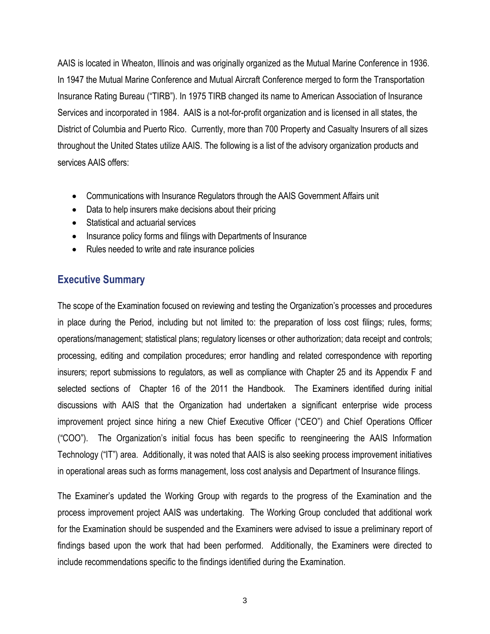AAIS is located in Wheaton, Illinois and was originally organized as the Mutual Marine Conference in 1936. In 1947 the Mutual Marine Conference and Mutual Aircraft Conference merged to form the Transportation Insurance Rating Bureau ("TIRB"). In 1975 TIRB changed its name to American Association of Insurance Services and incorporated in 1984. AAIS is a not-for-profit organization and is licensed in all states, the District of Columbia and Puerto Rico. Currently, more than 700 Property and Casualty Insurers of all sizes throughout the United States utilize AAIS. The following is a list of the advisory organization products and services AAIS offers:

- Communications with Insurance Regulators through the AAIS Government Affairs unit
- Data to help insurers make decisions about their pricing
- Statistical and actuarial services
- Insurance policy forms and filings with Departments of Insurance
- Rules needed to write and rate insurance policies

## **Executive Summary**

The scope of the Examination focused on reviewing and testing the Organization's processes and procedures in place during the Period, including but not limited to: the preparation of loss cost filings; rules, forms; operations/management; statistical plans; regulatory licenses or other authorization; data receipt and controls; processing, editing and compilation procedures; error handling and related correspondence with reporting insurers; report submissions to regulators, as well as compliance with Chapter 25 and its Appendix F and selected sections of Chapter 16 of the 2011 the Handbook. The Examiners identified during initial discussions with AAIS that the Organization had undertaken a significant enterprise wide process improvement project since hiring a new Chief Executive Officer ("CEO") and Chief Operations Officer ("COO"). The Organization's initial focus has been specific to reengineering the AAIS Information Technology ("IT") area. Additionally, it was noted that AAIS is also seeking process improvement initiatives in operational areas such as forms management, loss cost analysis and Department of Insurance filings.

The Examiner's updated the Working Group with regards to the progress of the Examination and the process improvement project AAIS was undertaking. The Working Group concluded that additional work for the Examination should be suspended and the Examiners were advised to issue a preliminary report of findings based upon the work that had been performed. Additionally, the Examiners were directed to include recommendations specific to the findings identified during the Examination.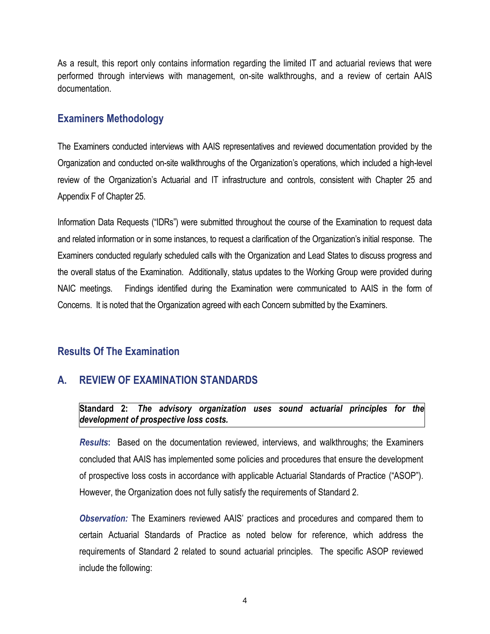As a result, this report only contains information regarding the limited IT and actuarial reviews that were performed through interviews with management, on-site walkthroughs, and a review of certain AAIS documentation.

### **Examiners Methodology**

The Examiners conducted interviews with AAIS representatives and reviewed documentation provided by the Organization and conducted on-site walkthroughs of the Organization's operations, which included a high-level review of the Organization's Actuarial and IT infrastructure and controls, consistent with Chapter 25 and Appendix F of Chapter 25.

Information Data Requests ("IDRs") were submitted throughout the course of the Examination to request data and related information or in some instances, to request a clarification of the Organization's initial response. The Examiners conducted regularly scheduled calls with the Organization and Lead States to discuss progress and the overall status of the Examination. Additionally, status updates to the Working Group were provided during NAIC meetings. Findings identified during the Examination were communicated to AAIS in the form of Concerns. It is noted that the Organization agreed with each Concern submitted by the Examiners.

## **Results Of The Examination**

## **A. REVIEW OF EXAMINATION STANDARDS**

Standard 2: The advisory organization uses sound actuarial principles for the *development of prospective loss costs.*

*Results***:** Based on the documentation reviewed, interviews, and walkthroughs; the Examiners concluded that AAIS has implemented some policies and procedures that ensure the development of prospective loss costs in accordance with applicable Actuarial Standards of Practice ("ASOP"). However, the Organization does not fully satisfy the requirements of Standard 2.

*Observation:* The Examiners reviewed AAIS' practices and procedures and compared them to certain Actuarial Standards of Practice as noted below for reference, which address the requirements of Standard 2 related to sound actuarial principles. The specific ASOP reviewed include the following: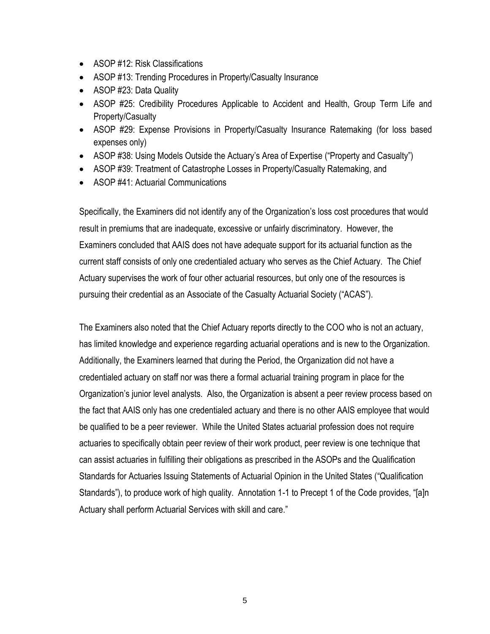- ASOP #12: Risk Classifications
- ASOP #13: Trending Procedures in Property/Casualty Insurance
- ASOP #23: Data Quality
- ASOP #25: Credibility Procedures Applicable to Accident and Health, Group Term Life and Property/Casualty
- ASOP #29: Expense Provisions in Property/Casualty Insurance Ratemaking (for loss based expenses only)
- ASOP #38: Using Models Outside the Actuary's Area of Expertise ("Property and Casualty")
- ASOP #39: Treatment of Catastrophe Losses in Property/Casualty Ratemaking, and
- ASOP #41: Actuarial Communications

Specifically, the Examiners did not identify any of the Organization's loss cost procedures that would result in premiums that are inadequate, excessive or unfairly discriminatory. However, the Examiners concluded that AAIS does not have adequate support for its actuarial function as the current staff consists of only one credentialed actuary who serves as the Chief Actuary. The Chief Actuary supervises the work of four other actuarial resources, but only one of the resources is pursuing their credential as an Associate of the Casualty Actuarial Society ("ACAS").

The Examiners also noted that the Chief Actuary reports directly to the COO who is not an actuary, has limited knowledge and experience regarding actuarial operations and is new to the Organization. Additionally, the Examiners learned that during the Period, the Organization did not have a credentialed actuary on staff nor was there a formal actuarial training program in place for the Organization's junior level analysts. Also, the Organization is absent a peer review process based on the fact that AAIS only has one credentialed actuary and there is no other AAIS employee that would be qualified to be a peer reviewer. While the United States actuarial profession does not require actuaries to specifically obtain peer review of their work product, peer review is one technique that can assist actuaries in fulfilling their obligations as prescribed in the ASOPs and the Qualification Standards for Actuaries Issuing Statements of Actuarial Opinion in the United States ("Qualification Standards"), to produce work of high quality. Annotation 1-1 to Precept 1 of the Code provides, "[a]n Actuary shall perform Actuarial Services with skill and care."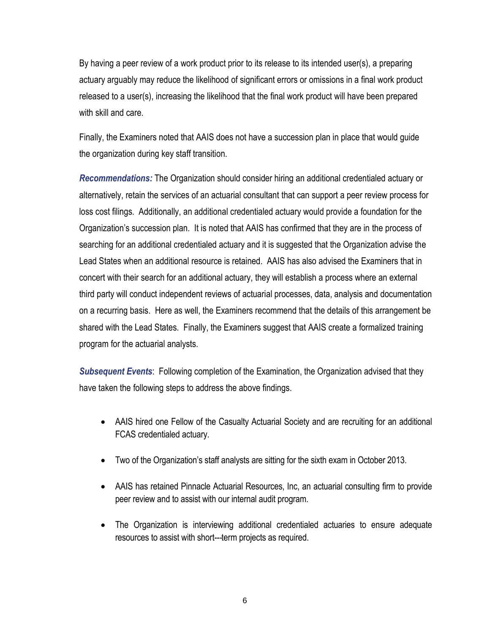By having a peer review of a work product prior to its release to its intended user(s), a preparing actuary arguably may reduce the likelihood of significant errors or omissions in a final work product released to a user(s), increasing the likelihood that the final work product will have been prepared with skill and care.

Finally, the Examiners noted that AAIS does not have a succession plan in place that would guide the organization during key staff transition.

*Recommendations:* The Organization should consider hiring an additional credentialed actuary or alternatively, retain the services of an actuarial consultant that can support a peer review process for loss cost filings. Additionally, an additional credentialed actuary would provide a foundation for the Organization's succession plan. It is noted that AAIS has confirmed that they are in the process of searching for an additional credentialed actuary and it is suggested that the Organization advise the Lead States when an additional resource is retained. AAIS has also advised the Examiners that in concert with their search for an additional actuary, they will establish a process where an external third party will conduct independent reviews of actuarial processes, data, analysis and documentation on a recurring basis. Here as well, the Examiners recommend that the details of this arrangement be shared with the Lead States. Finally, the Examiners suggest that AAIS create a formalized training program for the actuarial analysts.

*Subsequent Events*: Following completion of the Examination, the Organization advised that they have taken the following steps to address the above findings.

- AAIS hired one Fellow of the Casualty Actuarial Society and are recruiting for an additional FCAS credentialed actuary.
- Two of the Organization's staff analysts are sitting for the sixth exam in October 2013.
- AAIS has retained Pinnacle Actuarial Resources, Inc, an actuarial consulting firm to provide peer review and to assist with our internal audit program.
- The Organization is interviewing additional credentialed actuaries to ensure adequate resources to assist with short---term projects as required.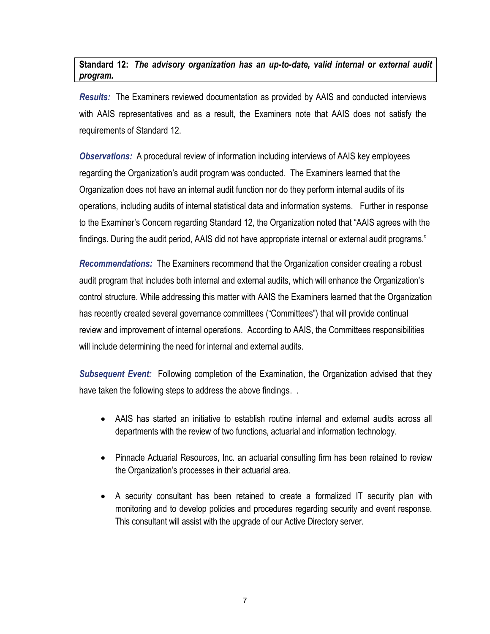**Standard 12:** *The advisory organization has an up-to-date, valid internal or external audit program.* 

*Results:* The Examiners reviewed documentation as provided by AAIS and conducted interviews with AAIS representatives and as a result, the Examiners note that AAIS does not satisfy the requirements of Standard 12.

*Observations:* A procedural review of information including interviews of AAIS key employees regarding the Organization's audit program was conducted. The Examiners learned that the Organization does not have an internal audit function nor do they perform internal audits of its operations, including audits of internal statistical data and information systems. Further in response to the Examiner's Concern regarding Standard 12, the Organization noted that "AAIS agrees with the findings. During the audit period, AAIS did not have appropriate internal or external audit programs."

*Recommendations:* The Examiners recommend that the Organization consider creating a robust audit program that includes both internal and external audits, which will enhance the Organization's control structure. While addressing this matter with AAIS the Examiners learned that the Organization has recently created several governance committees ("Committees") that will provide continual review and improvement of internal operations. According to AAIS, the Committees responsibilities will include determining the need for internal and external audits.

**Subsequent Event:** Following completion of the Examination, the Organization advised that they have taken the following steps to address the above findings. .

- AAIS has started an initiative to establish routine internal and external audits across all departments with the review of two functions, actuarial and information technology.
- Pinnacle Actuarial Resources, Inc. an actuarial consulting firm has been retained to review the Organization's processes in their actuarial area.
- A security consultant has been retained to create a formalized IT security plan with monitoring and to develop policies and procedures regarding security and event response. This consultant will assist with the upgrade of our Active Directory server.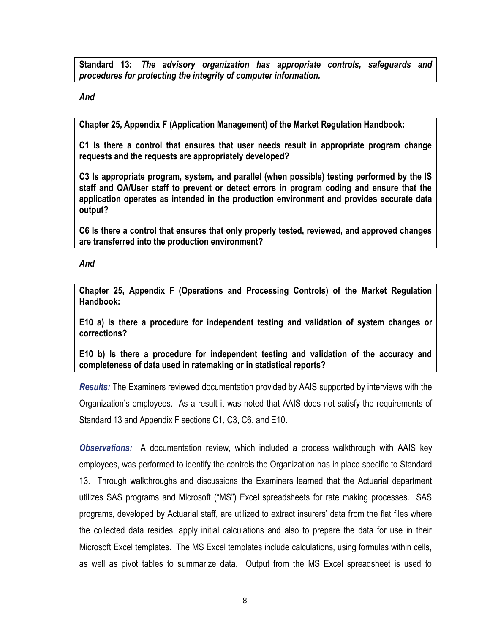**Standard 13:** *The advisory organization has appropriate controls, safeguards and procedures for protecting the integrity of computer information.*

*And*

**Chapter 25, Appendix F (Application Management) of the Market Regulation Handbook:**

**C1 Is there a control that ensures that user needs result in appropriate program change requests and the requests are appropriately developed?**

**C3 Is appropriate program, system, and parallel (when possible) testing performed by the IS staff and QA/User staff to prevent or detect errors in program coding and ensure that the application operates as intended in the production environment and provides accurate data output?**

**C6 Is there a control that ensures that only properly tested, reviewed, and approved changes are transferred into the production environment?**

*And*

**Chapter 25, Appendix F (Operations and Processing Controls) of the Market Regulation Handbook:**

**E10 a) Is there a procedure for independent testing and validation of system changes or corrections?**

**E10 b) Is there a procedure for independent testing and validation of the accuracy and completeness of data used in ratemaking or in statistical reports?** 

*Results:* The Examiners reviewed documentation provided by AAIS supported by interviews with the Organization's employees. As a result it was noted that AAIS does not satisfy the requirements of Standard 13 and Appendix F sections C1, C3, C6, and E10.

*Observations:* A documentation review, which included a process walkthrough with AAIS key employees, was performed to identify the controls the Organization has in place specific to Standard 13. Through walkthroughs and discussions the Examiners learned that the Actuarial department utilizes SAS programs and Microsoft ("MS") Excel spreadsheets for rate making processes. SAS programs, developed by Actuarial staff, are utilized to extract insurers' data from the flat files where the collected data resides, apply initial calculations and also to prepare the data for use in their Microsoft Excel templates. The MS Excel templates include calculations, using formulas within cells, as well as pivot tables to summarize data. Output from the MS Excel spreadsheet is used to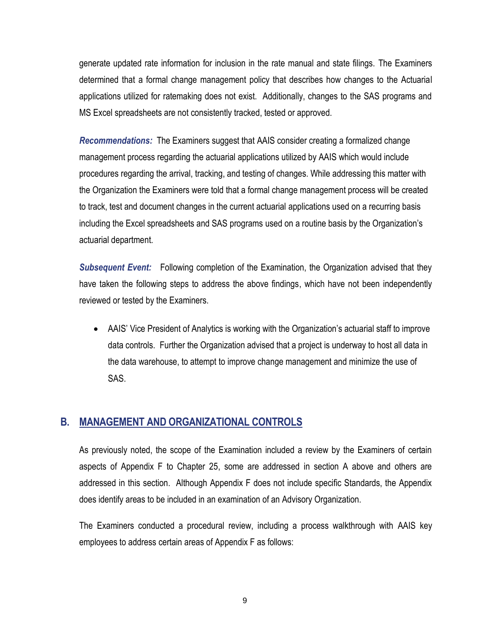generate updated rate information for inclusion in the rate manual and state filings. The Examiners determined that a formal change management policy that describes how changes to the Actuarial applications utilized for ratemaking does not exist. Additionally, changes to the SAS programs and MS Excel spreadsheets are not consistently tracked, tested or approved.

*Recommendations:* The Examiners suggest that AAIS consider creating a formalized change management process regarding the actuarial applications utilized by AAIS which would include procedures regarding the arrival, tracking, and testing of changes. While addressing this matter with the Organization the Examiners were told that a formal change management process will be created to track, test and document changes in the current actuarial applications used on a recurring basis including the Excel spreadsheets and SAS programs used on a routine basis by the Organization's actuarial department.

*Subsequent Event:* Following completion of the Examination, the Organization advised that they have taken the following steps to address the above findings, which have not been independently reviewed or tested by the Examiners.

 AAIS' Vice President of Analytics is working with the Organization's actuarial staff to improve data controls. Further the Organization advised that a project is underway to host all data in the data warehouse, to attempt to improve change management and minimize the use of SAS.

### **B. MANAGEMENT AND ORGANIZATIONAL CONTROLS**

As previously noted, the scope of the Examination included a review by the Examiners of certain aspects of Appendix F to Chapter 25, some are addressed in section A above and others are addressed in this section. Although Appendix F does not include specific Standards, the Appendix does identify areas to be included in an examination of an Advisory Organization.

The Examiners conducted a procedural review, including a process walkthrough with AAIS key employees to address certain areas of Appendix F as follows: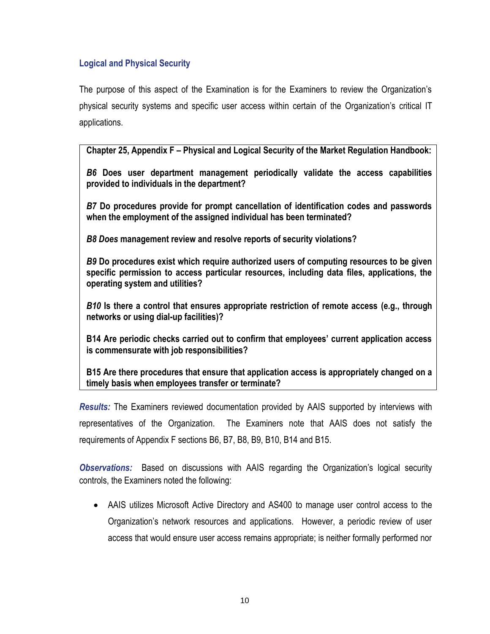#### **Logical and Physical Security**

The purpose of this aspect of the Examination is for the Examiners to review the Organization's physical security systems and specific user access within certain of the Organization's critical IT applications.

**Chapter 25, Appendix F – Physical and Logical Security of the Market Regulation Handbook:**

*B6* **Does user department management periodically validate the access capabilities provided to individuals in the department?**

*B7* **Do procedures provide for prompt cancellation of identification codes and passwords when the employment of the assigned individual has been terminated?**

*B8 Does* **management review and resolve reports of security violations?**

*B9* **Do procedures exist which require authorized users of computing resources to be given specific permission to access particular resources, including data files, applications, the operating system and utilities?**

*B10* **Is there a control that ensures appropriate restriction of remote access (e.g., through networks or using dial-up facilities)?**

**B14 Are periodic checks carried out to confirm that employees' current application access is commensurate with job responsibilities?**

**B15 Are there procedures that ensure that application access is appropriately changed on a timely basis when employees transfer or terminate?**

*Results:* The Examiners reviewed documentation provided by AAIS supported by interviews with representatives of the Organization. The Examiners note that AAIS does not satisfy the requirements of Appendix F sections B6, B7, B8, B9, B10, B14 and B15.

*Observations:* Based on discussions with AAIS regarding the Organization's logical security controls, the Examiners noted the following:

 AAIS utilizes Microsoft Active Directory and AS400 to manage user control access to the Organization's network resources and applications. However, a periodic review of user access that would ensure user access remains appropriate; is neither formally performed nor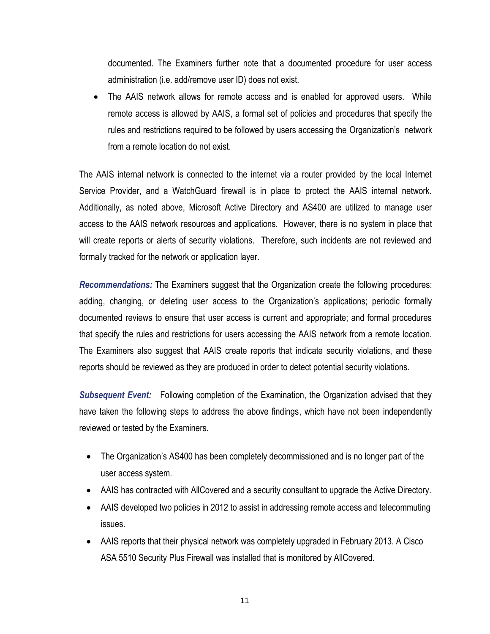documented. The Examiners further note that a documented procedure for user access administration (i.e. add/remove user ID) does not exist.

 The AAIS network allows for remote access and is enabled for approved users. While remote access is allowed by AAIS, a formal set of policies and procedures that specify the rules and restrictions required to be followed by users accessing the Organization's network from a remote location do not exist.

The AAIS internal network is connected to the internet via a router provided by the local Internet Service Provider, and a WatchGuard firewall is in place to protect the AAIS internal network. Additionally, as noted above, Microsoft Active Directory and AS400 are utilized to manage user access to the AAIS network resources and applications. However, there is no system in place that will create reports or alerts of security violations. Therefore, such incidents are not reviewed and formally tracked for the network or application layer.

*Recommendations:* The Examiners suggest that the Organization create the following procedures: adding, changing, or deleting user access to the Organization's applications; periodic formally documented reviews to ensure that user access is current and appropriate; and formal procedures that specify the rules and restrictions for users accessing the AAIS network from a remote location. The Examiners also suggest that AAIS create reports that indicate security violations, and these reports should be reviewed as they are produced in order to detect potential security violations.

*Subsequent Event:* Following completion of the Examination, the Organization advised that they have taken the following steps to address the above findings, which have not been independently reviewed or tested by the Examiners.

- The Organization's AS400 has been completely decommissioned and is no longer part of the user access system.
- AAIS has contracted with AllCovered and a security consultant to upgrade the Active Directory.
- AAIS developed two policies in 2012 to assist in addressing remote access and telecommuting issues.
- AAIS reports that their physical network was completely upgraded in February 2013. A Cisco ASA 5510 Security Plus Firewall was installed that is monitored by AllCovered.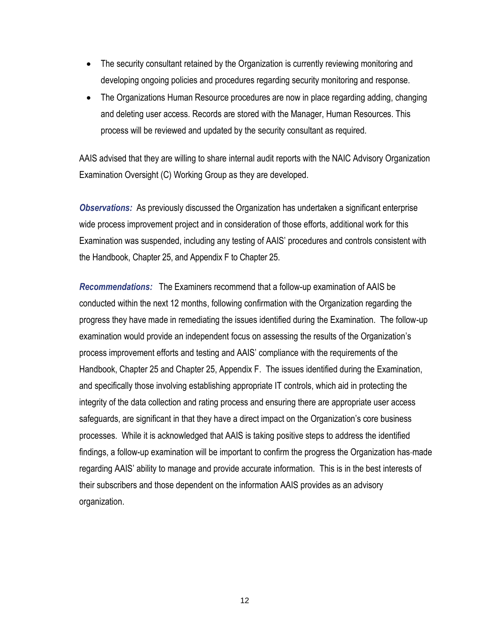- The security consultant retained by the Organization is currently reviewing monitoring and developing ongoing policies and procedures regarding security monitoring and response.
- The Organizations Human Resource procedures are now in place regarding adding, changing and deleting user access. Records are stored with the Manager, Human Resources. This process will be reviewed and updated by the security consultant as required.

AAIS advised that they are willing to share internal audit reports with the NAIC Advisory Organization Examination Oversight (C) Working Group as they are developed.

*Observations:* As previously discussed the Organization has undertaken a significant enterprise wide process improvement project and in consideration of those efforts, additional work for this Examination was suspended, including any testing of AAIS' procedures and controls consistent with the Handbook, Chapter 25, and Appendix F to Chapter 25.

*Recommendations:* The Examiners recommend that a follow-up examination of AAIS be conducted within the next 12 months, following confirmation with the Organization regarding the progress they have made in remediating the issues identified during the Examination. The follow-up examination would provide an independent focus on assessing the results of the Organization's process improvement efforts and testing and AAIS' compliance with the requirements of the Handbook, Chapter 25 and Chapter 25, Appendix F. The issues identified during the Examination, and specifically those involving establishing appropriate IT controls, which aid in protecting the integrity of the data collection and rating process and ensuring there are appropriate user access safeguards, are significant in that they have a direct impact on the Organization's core business processes. While it is acknowledged that AAIS is taking positive steps to address the identified findings, a follow-up examination will be important to confirm the progress the Organization has made regarding AAIS' ability to manage and provide accurate information. This is in the best interests of their subscribers and those dependent on the information AAIS provides as an advisory organization.

12